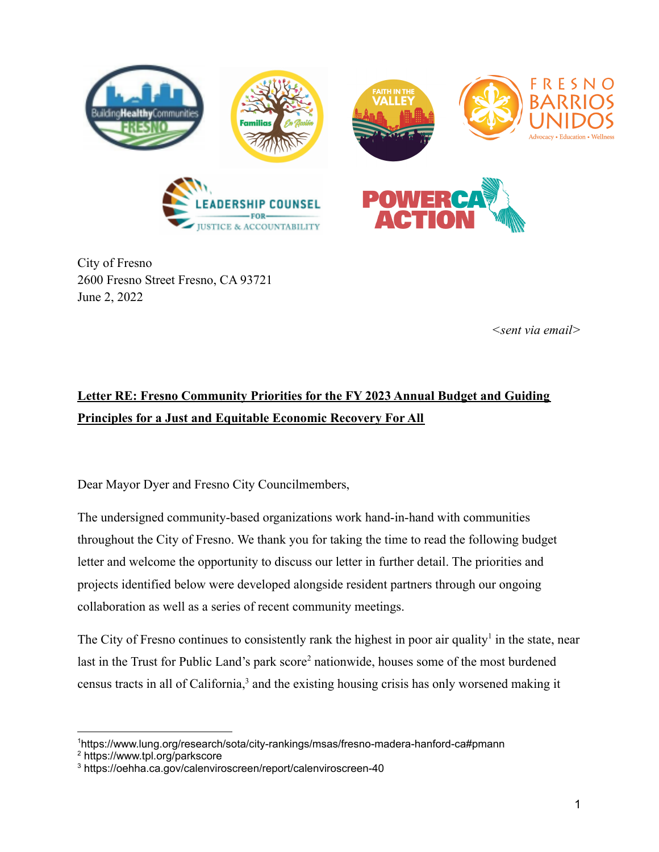

City of Fresno 2600 Fresno Street Fresno, CA 93721 June 2, 2022

*<sent via email>*

# **Letter RE: Fresno Community Priorities for the FY 2023 Annual Budget and Guiding Principles for a Just and Equitable Economic Recovery For All**

Dear Mayor Dyer and Fresno City Councilmembers,

The undersigned community-based organizations work hand-in-hand with communities throughout the City of Fresno. We thank you for taking the time to read the following budget letter and welcome the opportunity to discuss our letter in further detail. The priorities and projects identified below were developed alongside resident partners through our ongoing collaboration as well as a series of recent community meetings.

The City of Fresno continues to consistently rank the highest in poor air quality<sup>1</sup> in the state, near last in the Trust for Public Land's park score<sup>2</sup> nationwide, houses some of the most burdened census tracts in all of California,<sup>3</sup> and the existing housing crisis has only worsened making it

<sup>1</sup>https://www.lung.org/research/sota/city-rankings/msas/fresno-madera-hanford-ca#pmann

<sup>2</sup> https://www.tpl.org/parkscore

<sup>3</sup> https://oehha.ca.gov/calenviroscreen/report/calenviroscreen-40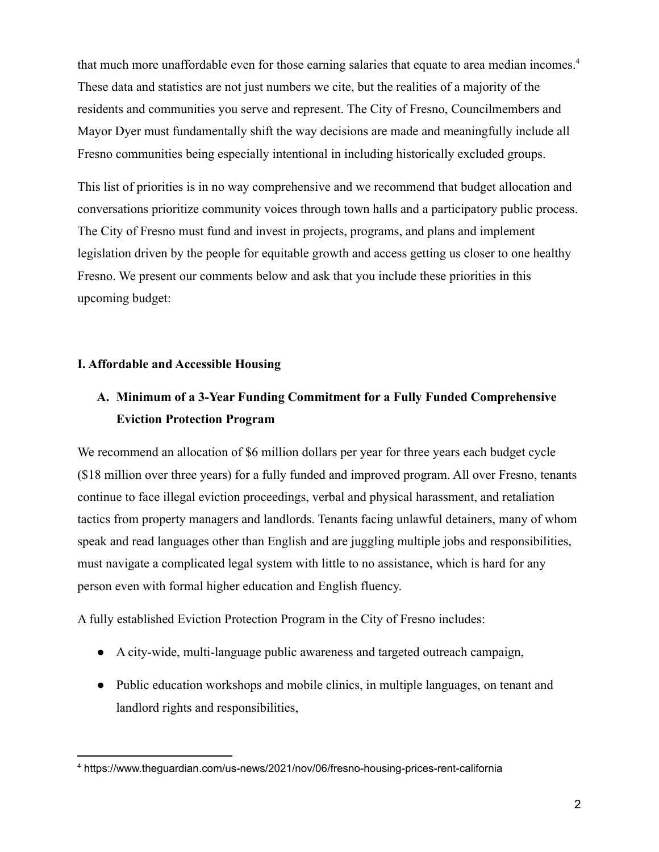that much more unaffordable even for those earning salaries that equate to area median incomes.<sup>4</sup> These data and statistics are not just numbers we cite, but the realities of a majority of the residents and communities you serve and represent. The City of Fresno, Councilmembers and Mayor Dyer must fundamentally shift the way decisions are made and meaningfully include all Fresno communities being especially intentional in including historically excluded groups.

This list of priorities is in no way comprehensive and we recommend that budget allocation and conversations prioritize community voices through town halls and a participatory public process. The City of Fresno must fund and invest in projects, programs, and plans and implement legislation driven by the people for equitable growth and access getting us closer to one healthy Fresno. We present our comments below and ask that you include these priorities in this upcoming budget:

## **I. Affordable and Accessible Housing**

# **A. Minimum of a 3-Year Funding Commitment for a Fully Funded Comprehensive Eviction Protection Program**

We recommend an allocation of \$6 million dollars per year for three years each budget cycle (\$18 million over three years) for a fully funded and improved program. All over Fresno, tenants continue to face illegal eviction proceedings, verbal and physical harassment, and retaliation tactics from property managers and landlords. Tenants facing unlawful detainers, many of whom speak and read languages other than English and are juggling multiple jobs and responsibilities, must navigate a complicated legal system with little to no assistance, which is hard for any person even with formal higher education and English fluency.

A fully established Eviction Protection Program in the City of Fresno includes:

- A city-wide, multi-language public awareness and targeted outreach campaign,
- Public education workshops and mobile clinics, in multiple languages, on tenant and landlord rights and responsibilities,

<sup>4</sup> https://www.theguardian.com/us-news/2021/nov/06/fresno-housing-prices-rent-california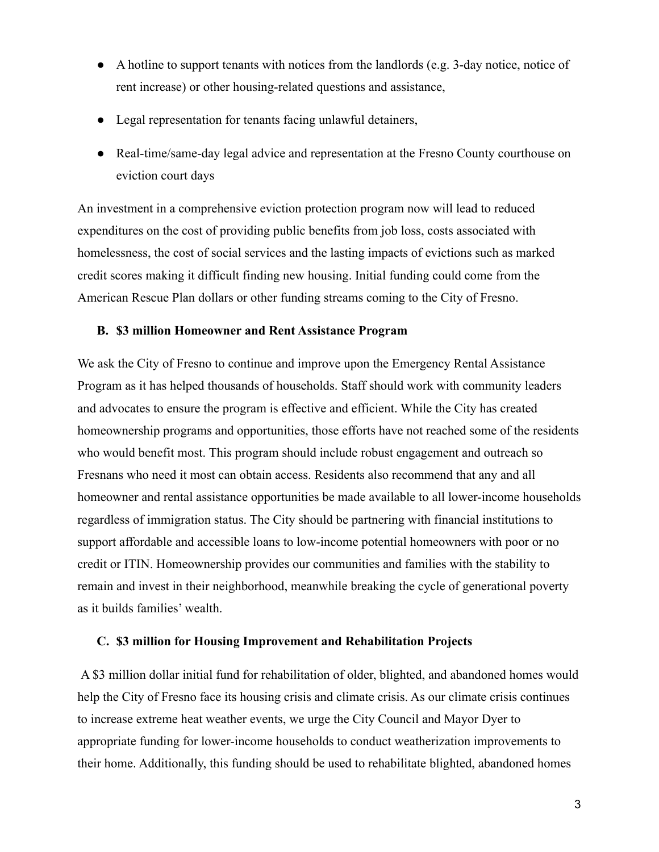- A hotline to support tenants with notices from the landlords (e.g. 3-day notice, notice of rent increase) or other housing-related questions and assistance,
- Legal representation for tenants facing unlawful detainers,
- Real-time/same-day legal advice and representation at the Fresno County courthouse on eviction court days

An investment in a comprehensive eviction protection program now will lead to reduced expenditures on the cost of providing public benefits from job loss, costs associated with homelessness, the cost of social services and the lasting impacts of evictions such as marked credit scores making it difficult finding new housing. Initial funding could come from the American Rescue Plan dollars or other funding streams coming to the City of Fresno.

### **B. \$3 million Homeowner and Rent Assistance Program**

We ask the City of Fresno to continue and improve upon the Emergency Rental Assistance Program as it has helped thousands of households. Staff should work with community leaders and advocates to ensure the program is effective and efficient. While the City has created homeownership programs and opportunities, those efforts have not reached some of the residents who would benefit most. This program should include robust engagement and outreach so Fresnans who need it most can obtain access. Residents also recommend that any and all homeowner and rental assistance opportunities be made available to all lower-income households regardless of immigration status. The City should be partnering with financial institutions to support affordable and accessible loans to low-income potential homeowners with poor or no credit or ITIN. Homeownership provides our communities and families with the stability to remain and invest in their neighborhood, meanwhile breaking the cycle of generational poverty as it builds families' wealth.

#### **C. \$3 million for Housing Improvement and Rehabilitation Projects**

A \$3 million dollar initial fund for rehabilitation of older, blighted, and abandoned homes would help the City of Fresno face its housing crisis and climate crisis. As our climate crisis continues to increase extreme heat weather events, we urge the City Council and Mayor Dyer to appropriate funding for lower-income households to conduct weatherization improvements to their home. Additionally, this funding should be used to rehabilitate blighted, abandoned homes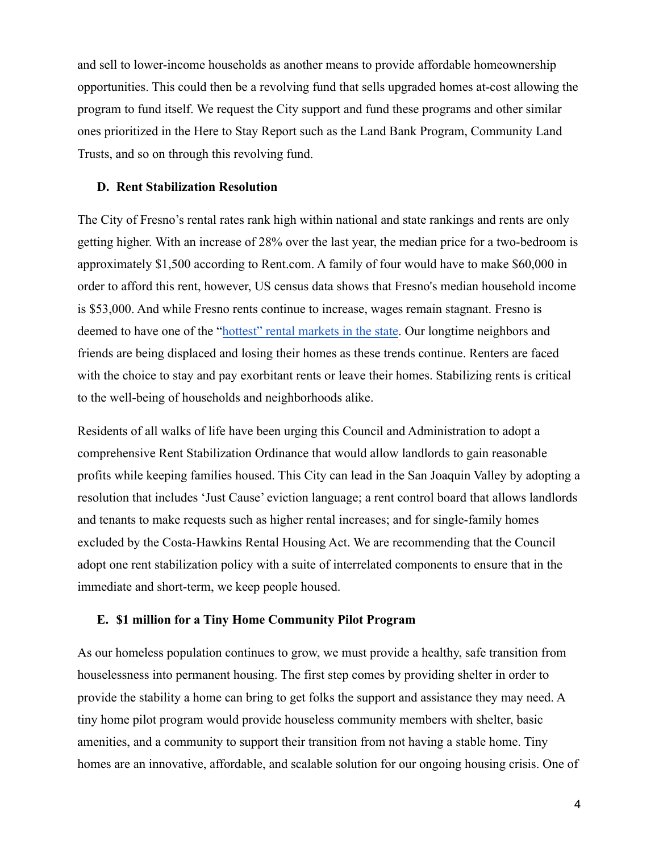and sell to lower-income households as another means to provide affordable homeownership opportunities. This could then be a revolving fund that sells upgraded homes at-cost allowing the program to fund itself. We request the City support and fund these programs and other similar ones prioritized in the Here to Stay Report such as the Land Bank Program, Community Land Trusts, and so on through this revolving fund.

#### **D. Rent Stabilization Resolution**

The City of Fresno's rental rates rank high within national and state rankings and rents are only getting higher. With an increase of 28% over the last year, the median price for a two-bedroom is approximately \$1,500 according to Rent.com. A family of four would have to make \$60,000 in order to afford this rent, however, US census data shows that Fresno's median household income is \$53,000. And while Fresno rents continue to increase, wages remain stagnant. Fresno is deemed to have one of the "[hottest" rental markets](https://www.fresnobee.com/fresnoland/article257570593.html) in the state. Our longtime neighbors and friends are being displaced and losing their homes as these trends continue. Renters are faced with the choice to stay and pay exorbitant rents or leave their homes. Stabilizing rents is critical to the well-being of households and neighborhoods alike.

Residents of all walks of life have been urging this Council and Administration to adopt a comprehensive Rent Stabilization Ordinance that would allow landlords to gain reasonable profits while keeping families housed. This City can lead in the San Joaquin Valley by adopting a resolution that includes 'Just Cause' eviction language; a rent control board that allows landlords and tenants to make requests such as higher rental increases; and for single-family homes excluded by the Costa-Hawkins Rental Housing Act. We are recommending that the Council adopt one rent stabilization policy with a suite of interrelated components to ensure that in the immediate and short-term, we keep people housed.

#### **E. \$1 million for a Tiny Home Community Pilot Program**

As our homeless population continues to grow, we must provide a healthy, safe transition from houselessness into permanent housing. The first step comes by providing shelter in order to provide the stability a home can bring to get folks the support and assistance they may need. A tiny home pilot program would provide houseless community members with shelter, basic amenities, and a community to support their transition from not having a stable home. Tiny homes are an innovative, affordable, and scalable solution for our ongoing housing crisis. One of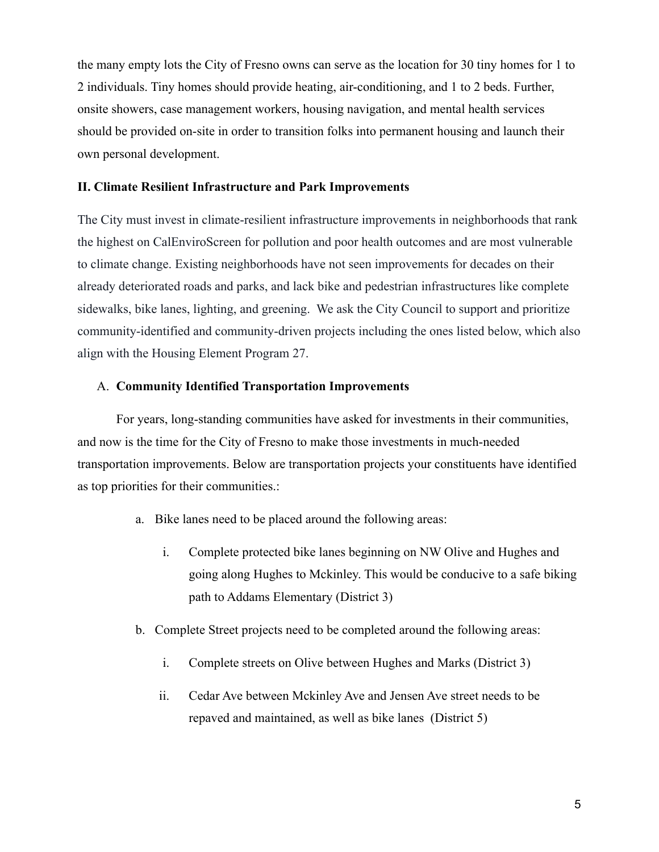the many empty lots the City of Fresno owns can serve as the location for 30 tiny homes for 1 to 2 individuals. Tiny homes should provide heating, air-conditioning, and 1 to 2 beds. Further, onsite showers, case management workers, housing navigation, and mental health services should be provided on-site in order to transition folks into permanent housing and launch their own personal development.

## **II. Climate Resilient Infrastructure and Park Improvements**

The City must invest in climate-resilient infrastructure improvements in neighborhoods that rank the highest on CalEnviroScreen for pollution and poor health outcomes and are most vulnerable to climate change. Existing neighborhoods have not seen improvements for decades on their already deteriorated roads and parks, and lack bike and pedestrian infrastructures like complete sidewalks, bike lanes, lighting, and greening. We ask the City Council to support and prioritize community-identified and community-driven projects including the ones listed below, which also align with the Housing Element Program 27.

## A. **Community Identified Transportation Improvements**

For years, long-standing communities have asked for investments in their communities, and now is the time for the City of Fresno to make those investments in much-needed transportation improvements. Below are transportation projects your constituents have identified as top priorities for their communities.:

- a. Bike lanes need to be placed around the following areas:
	- i. Complete protected bike lanes beginning on NW Olive and Hughes and going along Hughes to Mckinley. This would be conducive to a safe biking path to Addams Elementary (District 3)
- b. Complete Street projects need to be completed around the following areas:
	- i. Complete streets on Olive between Hughes and Marks (District 3)
	- ii. Cedar Ave between Mckinley Ave and Jensen Ave street needs to be repaved and maintained, as well as bike lanes (District 5)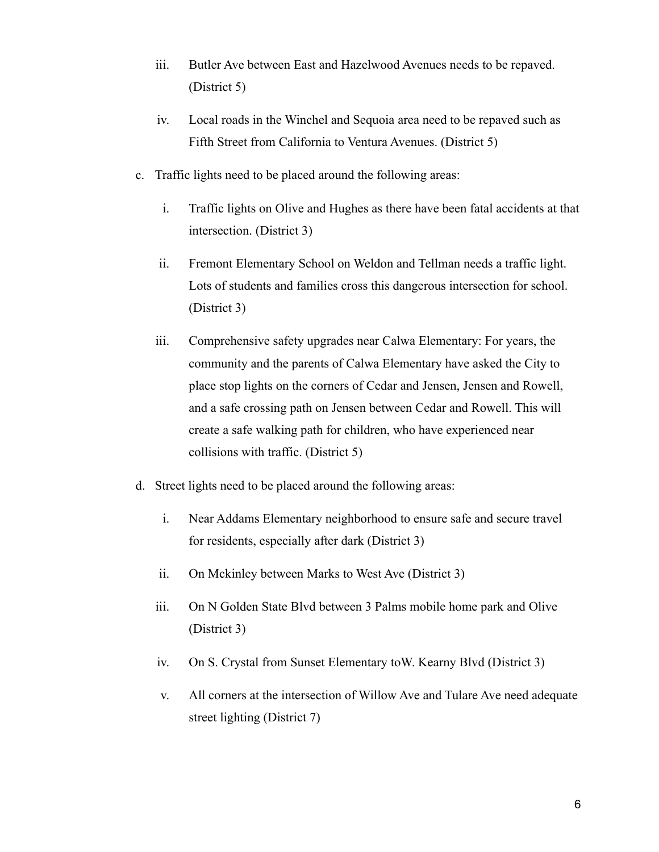- iii. Butler Ave between East and Hazelwood Avenues needs to be repaved. (District 5)
- iv. Local roads in the Winchel and Sequoia area need to be repaved such as Fifth Street from California to Ventura Avenues. (District 5)
- c. Traffic lights need to be placed around the following areas:
	- i. Traffic lights on Olive and Hughes as there have been fatal accidents at that intersection. (District 3)
	- ii. Fremont Elementary School on Weldon and Tellman needs a traffic light. Lots of students and families cross this dangerous intersection for school. (District 3)
	- iii. Comprehensive safety upgrades near Calwa Elementary: For years, the community and the parents of Calwa Elementary have asked the City to place stop lights on the corners of Cedar and Jensen, Jensen and Rowell, and a safe crossing path on Jensen between Cedar and Rowell. This will create a safe walking path for children, who have experienced near collisions with traffic. (District 5)
- d. Street lights need to be placed around the following areas:
	- i. Near Addams Elementary neighborhood to ensure safe and secure travel for residents, especially after dark (District 3)
	- ii. On Mckinley between Marks to West Ave (District 3)
	- iii. On N Golden State Blvd between 3 Palms mobile home park and Olive (District 3)
	- iv. On S. Crystal from Sunset Elementary toW. Kearny Blvd (District 3)
	- v. All corners at the intersection of Willow Ave and Tulare Ave need adequate street lighting (District 7)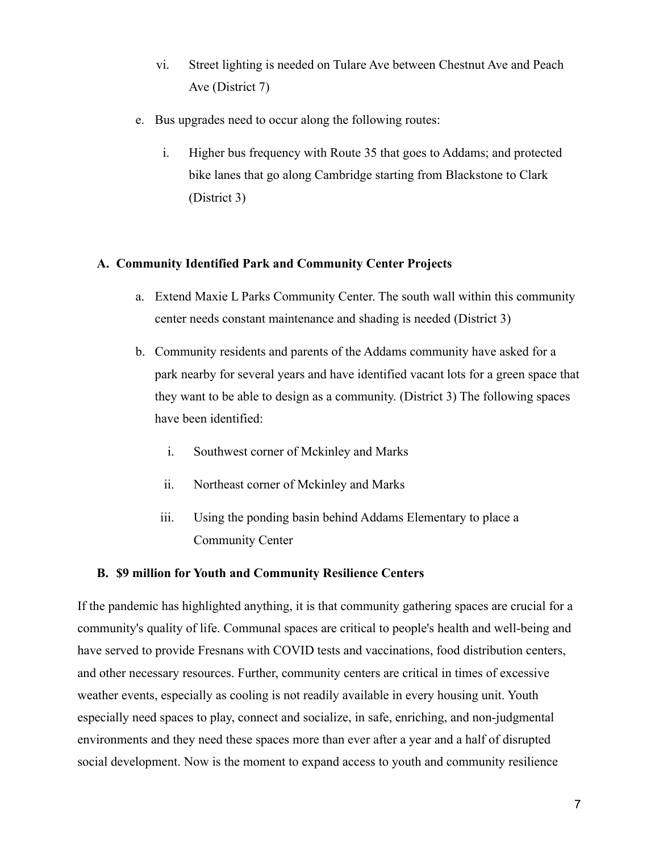- vi. Street lighting is needed on Tulare Ave between Chestnut Ave and Peach Ave (District 7)
- e. Bus upgrades need to occur along the following routes:
	- i. Higher bus frequency with Route 35 that goes to Addams; and protected bike lanes that go along Cambridge starting from Blackstone to Clark (District 3)

## **A. Community Identified Park and Community Center Projects**

- a. Extend Maxie L Parks Community Center. The south wall within this community center needs constant maintenance and shading is needed (District 3)
- b. Community residents and parents of the Addams community have asked for a park nearby for several years and have identified vacant lots for a green space that they want to be able to design as a community. (District 3) The following spaces have been identified:
	- i. Southwest corner of Mckinley and Marks
	- ii. Northeast corner of Mckinley and Marks
	- iii. Using the ponding basin behind Addams Elementary to place a Community Center

## **B. \$9 million for Youth and Community Resilience Centers**

If the pandemic has highlighted anything, it is that community gathering spaces are crucial for a community's quality of life. Communal spaces are critical to people's health and well-being and have served to provide Fresnans with COVID tests and vaccinations, food distribution centers, and other necessary resources. Further, community centers are critical in times of excessive weather events, especially as cooling is not readily available in every housing unit. Youth especially need spaces to play, connect and socialize, in safe, enriching, and non-judgmental environments and they need these spaces more than ever after a year and a half of disrupted social development. Now is the moment to expand access to youth and community resilience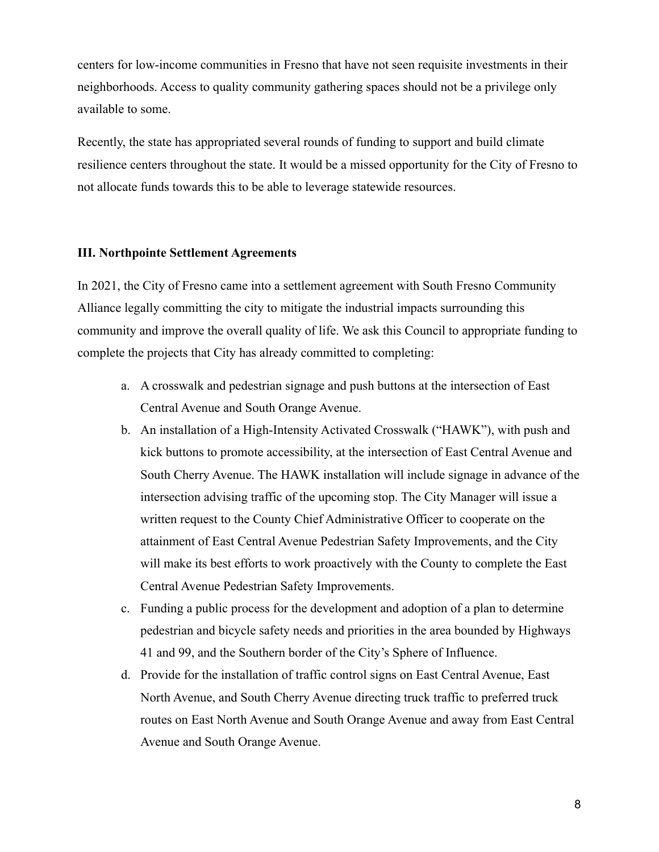centers for low-income communities in Fresno that have not seen requisite investments in their neighborhoods. Access to quality community gathering spaces should not be a privilege only available to some.

Recently, the state has appropriated several rounds of funding to support and build climate resilience centers throughout the state. It would be a missed opportunity for the City of Fresno to not allocate funds towards this to be able to leverage statewide resources.

### **III. Northpointe Settlement Agreements**

In 2021, the City of Fresno came into a settlement agreement with South Fresno Community Alliance legally committing the city to mitigate the industrial impacts surrounding this community and improve the overall quality of life. We ask this Council to appropriate funding to complete the projects that City has already committed to completing:

- a. A crosswalk and pedestrian signage and push buttons at the intersection of East Central Avenue and South Orange Avenue.
- b. An installation of a High-Intensity Activated Crosswalk ("HAWK"), with push and kick buttons to promote accessibility, at the intersection of East Central Avenue and South Cherry Avenue. The HAWK installation will include signage in advance of the intersection advising traffic of the upcoming stop. The City Manager will issue a written request to the County Chief Administrative Officer to cooperate on the attainment of East Central Avenue Pedestrian Safety Improvements, and the City will make its best efforts to work proactively with the County to complete the East Central Avenue Pedestrian Safety Improvements.
- c. Funding a public process for the development and adoption of a plan to determine pedestrian and bicycle safety needs and priorities in the area bounded by Highways 41 and 99, and the Southern border of the City's Sphere of Influence.
- d. Provide for the installation of traffic control signs on East Central Avenue, East North Avenue, and South Cherry Avenue directing truck traffic to preferred truck routes on East North Avenue and South Orange Avenue and away from East Central Avenue and South Orange Avenue.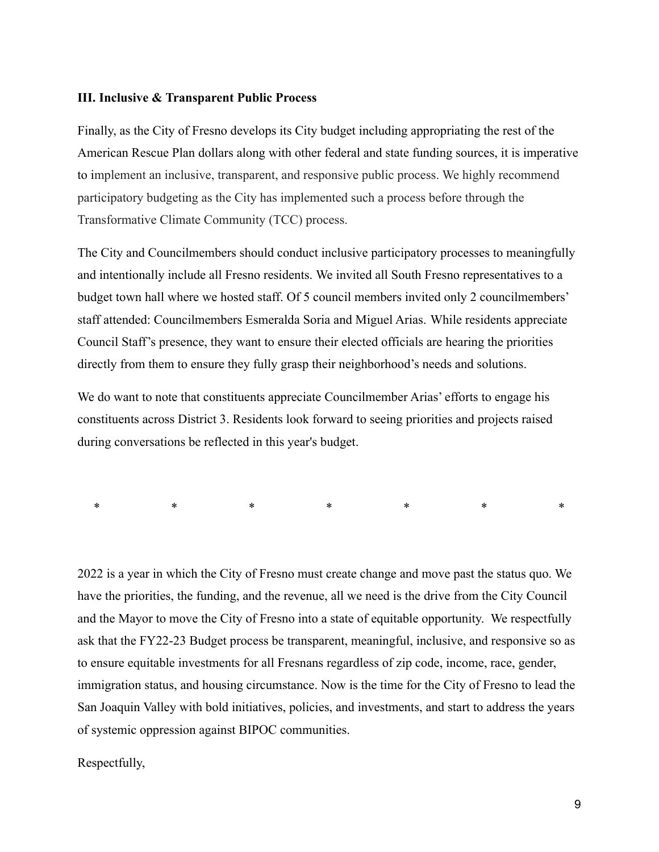#### **III. Inclusive & Transparent Public Process**

Finally, as the City of Fresno develops its City budget including appropriating the rest of the American Rescue Plan dollars along with other federal and state funding sources, it is imperative to implement an inclusive, transparent, and responsive public process. We highly recommend participatory budgeting as the City has implemented such a process before through the Transformative Climate Community (TCC) process.

The City and Councilmembers should conduct inclusive participatory processes to meaningfully and intentionally include all Fresno residents. We invited all South Fresno representatives to a budget town hall where we hosted staff. Of 5 council members invited only 2 councilmembers' staff attended: Councilmembers Esmeralda Soria and Miguel Arias. While residents appreciate Council Staff's presence, they want to ensure their elected officials are hearing the priorities directly from them to ensure they fully grasp their neighborhood's needs and solutions.

We do want to note that constituents appreciate Councilmember Arias' efforts to engage his constituents across District 3. Residents look forward to seeing priorities and projects raised during conversations be reflected in this year's budget.

\* \* \* \* \* \* \* \* \* \* \*

2022 is a year in which the City of Fresno must create change and move past the status quo. We have the priorities, the funding, and the revenue, all we need is the drive from the City Council and the Mayor to move the City of Fresno into a state of equitable opportunity. We respectfully ask that the FY22-23 Budget process be transparent, meaningful, inclusive, and responsive so as to ensure equitable investments for all Fresnans regardless of zip code, income, race, gender, immigration status, and housing circumstance. Now is the time for the City of Fresno to lead the San Joaquin Valley with bold initiatives, policies, and investments, and start to address the years of systemic oppression against BIPOC communities.

## Respectfully,